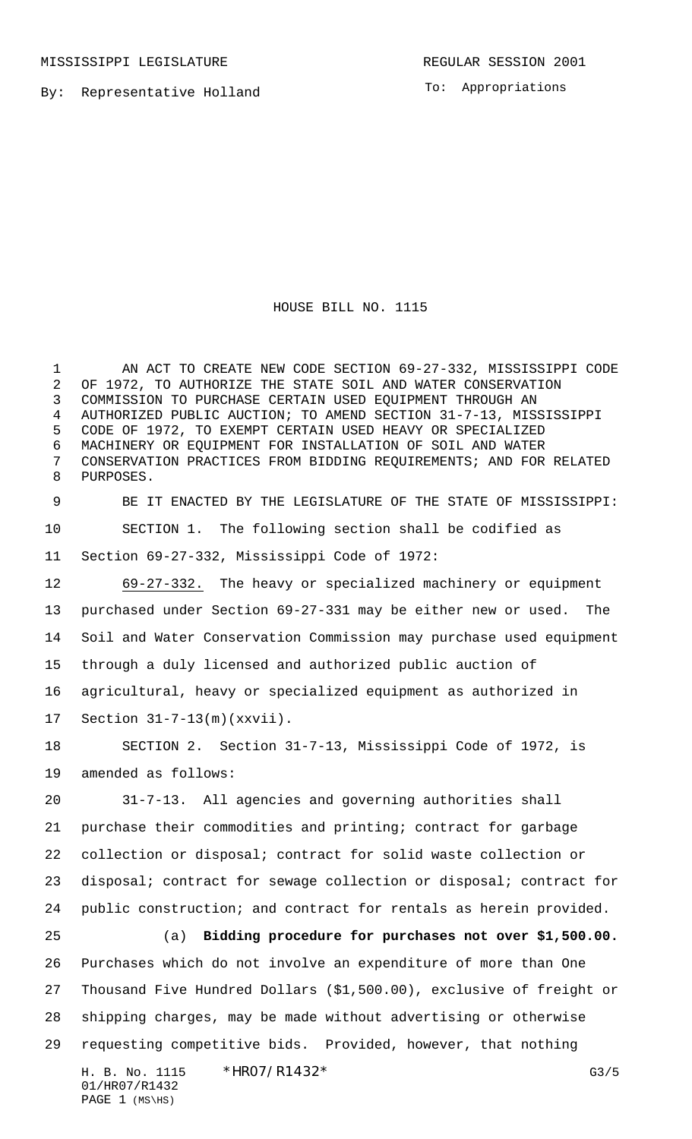MISSISSIPPI LEGISLATURE **REGULAR SESSION 2001** 

By: Representative Holland

To: Appropriations

## HOUSE BILL NO. 1115

1 AN ACT TO CREATE NEW CODE SECTION 69-27-332, MISSISSIPPI CODE OF 1972, TO AUTHORIZE THE STATE SOIL AND WATER CONSERVATION COMMISSION TO PURCHASE CERTAIN USED EQUIPMENT THROUGH AN AUTHORIZED PUBLIC AUCTION; TO AMEND SECTION 31-7-13, MISSISSIPPI CODE OF 1972, TO EXEMPT CERTAIN USED HEAVY OR SPECIALIZED MACHINERY OR EQUIPMENT FOR INSTALLATION OF SOIL AND WATER CONSERVATION PRACTICES FROM BIDDING REQUIREMENTS; AND FOR RELATED PURPOSES.

 BE IT ENACTED BY THE LEGISLATURE OF THE STATE OF MISSISSIPPI: SECTION 1. The following section shall be codified as Section 69-27-332, Mississippi Code of 1972:

 69-27-332. The heavy or specialized machinery or equipment purchased under Section 69-27-331 may be either new or used. The Soil and Water Conservation Commission may purchase used equipment through a duly licensed and authorized public auction of agricultural, heavy or specialized equipment as authorized in Section 31-7-13(m)(xxvii).

 SECTION 2. Section 31-7-13, Mississippi Code of 1972, is amended as follows:

 31-7-13. All agencies and governing authorities shall purchase their commodities and printing; contract for garbage collection or disposal; contract for solid waste collection or disposal; contract for sewage collection or disposal; contract for public construction; and contract for rentals as herein provided.

 (a) **Bidding procedure for purchases not over \$1,500.00.** Purchases which do not involve an expenditure of more than One Thousand Five Hundred Dollars (\$1,500.00), exclusive of freight or shipping charges, may be made without advertising or otherwise requesting competitive bids. Provided, however, that nothing

H. B. No. 1115 \* HRO7/R1432 \* 01/HR07/R1432 PAGE (MS\HS)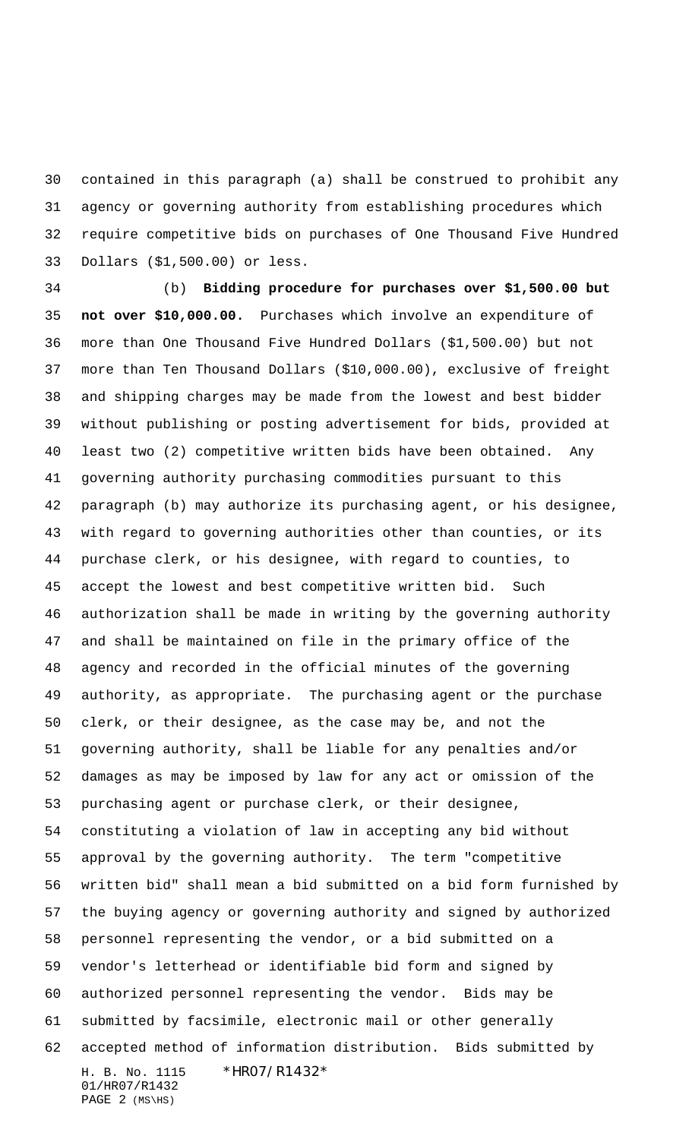contained in this paragraph (a) shall be construed to prohibit any agency or governing authority from establishing procedures which require competitive bids on purchases of One Thousand Five Hundred Dollars (\$1,500.00) or less.

H. B. No. 1115 \* HRO7/R1432\* 01/HR07/R1432 (b) **Bidding procedure for purchases over \$1,500.00 but not over \$10,000.00.** Purchases which involve an expenditure of more than One Thousand Five Hundred Dollars (\$1,500.00) but not more than Ten Thousand Dollars (\$10,000.00), exclusive of freight and shipping charges may be made from the lowest and best bidder without publishing or posting advertisement for bids, provided at least two (2) competitive written bids have been obtained. Any governing authority purchasing commodities pursuant to this paragraph (b) may authorize its purchasing agent, or his designee, with regard to governing authorities other than counties, or its purchase clerk, or his designee, with regard to counties, to accept the lowest and best competitive written bid. Such authorization shall be made in writing by the governing authority and shall be maintained on file in the primary office of the agency and recorded in the official minutes of the governing authority, as appropriate. The purchasing agent or the purchase clerk, or their designee, as the case may be, and not the governing authority, shall be liable for any penalties and/or damages as may be imposed by law for any act or omission of the purchasing agent or purchase clerk, or their designee, constituting a violation of law in accepting any bid without approval by the governing authority. The term "competitive written bid" shall mean a bid submitted on a bid form furnished by the buying agency or governing authority and signed by authorized personnel representing the vendor, or a bid submitted on a vendor's letterhead or identifiable bid form and signed by authorized personnel representing the vendor. Bids may be submitted by facsimile, electronic mail or other generally accepted method of information distribution. Bids submitted by

```
PAGE 2 (MS\HS)
```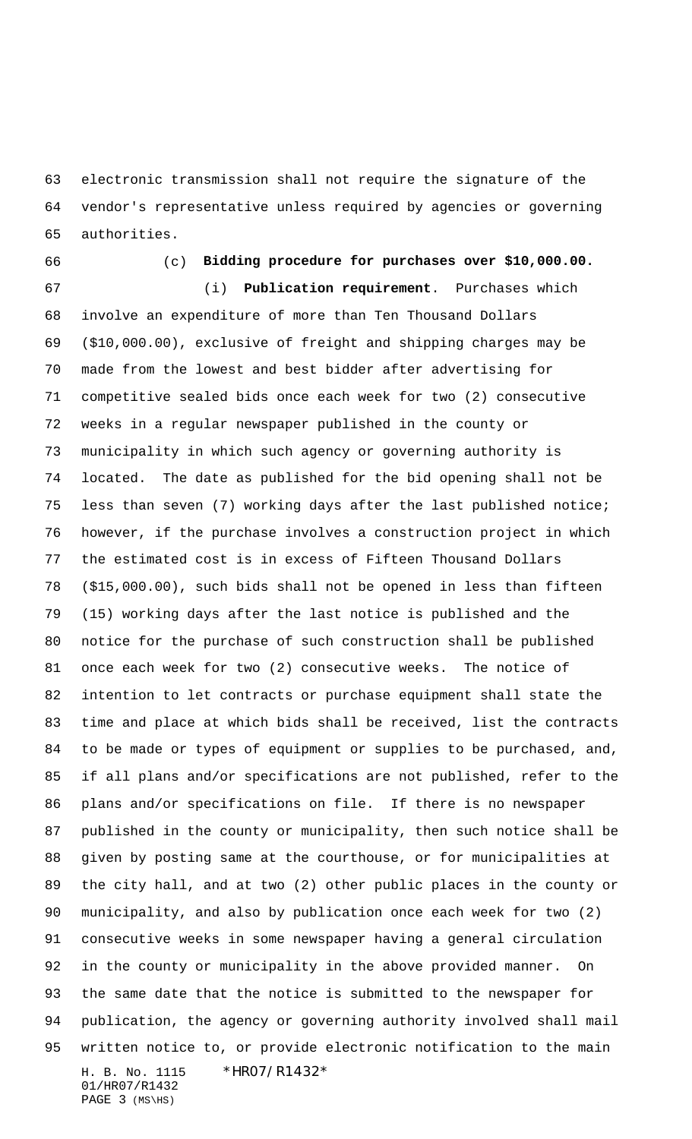electronic transmission shall not require the signature of the vendor's representative unless required by agencies or governing authorities.

## (c) **Bidding procedure for purchases over \$10,000.00.**

H. B. No. 1115 \*HR07/R1432\* 01/HR07/R1432 PAGE (MS\HS) (i) **Publication requirement**. Purchases which involve an expenditure of more than Ten Thousand Dollars (\$10,000.00), exclusive of freight and shipping charges may be made from the lowest and best bidder after advertising for competitive sealed bids once each week for two (2) consecutive weeks in a regular newspaper published in the county or municipality in which such agency or governing authority is located. The date as published for the bid opening shall not be less than seven (7) working days after the last published notice; however, if the purchase involves a construction project in which the estimated cost is in excess of Fifteen Thousand Dollars (\$15,000.00), such bids shall not be opened in less than fifteen (15) working days after the last notice is published and the notice for the purchase of such construction shall be published once each week for two (2) consecutive weeks. The notice of intention to let contracts or purchase equipment shall state the time and place at which bids shall be received, list the contracts to be made or types of equipment or supplies to be purchased, and, if all plans and/or specifications are not published, refer to the plans and/or specifications on file. If there is no newspaper published in the county or municipality, then such notice shall be given by posting same at the courthouse, or for municipalities at the city hall, and at two (2) other public places in the county or municipality, and also by publication once each week for two (2) consecutive weeks in some newspaper having a general circulation in the county or municipality in the above provided manner. On the same date that the notice is submitted to the newspaper for publication, the agency or governing authority involved shall mail written notice to, or provide electronic notification to the main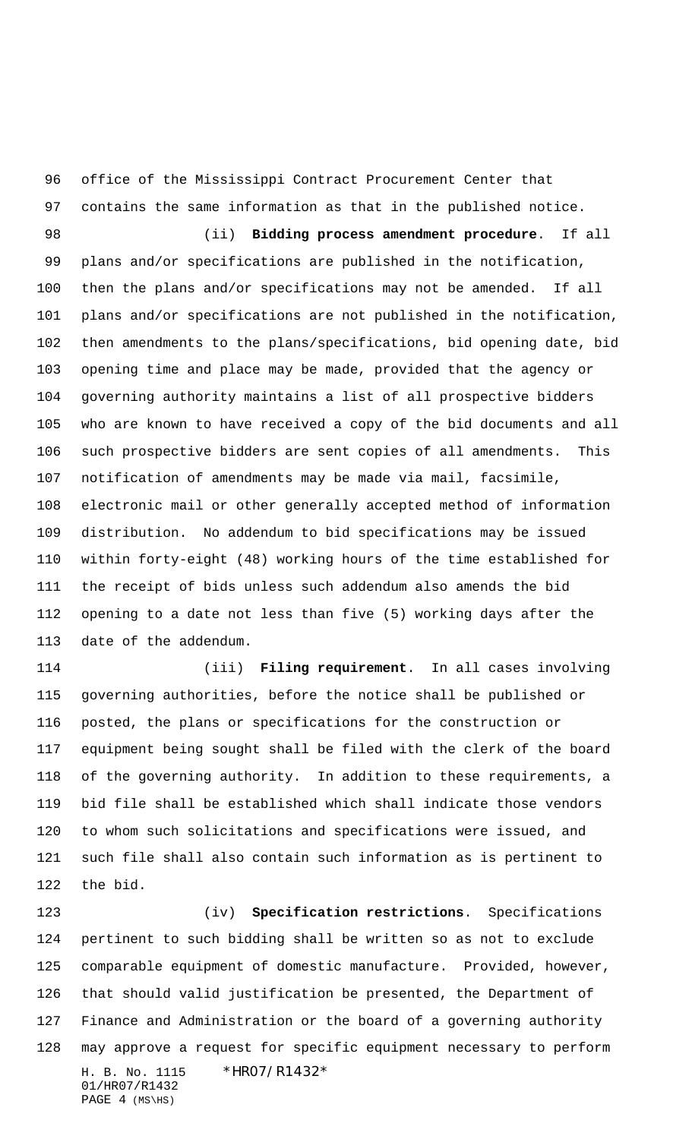office of the Mississippi Contract Procurement Center that contains the same information as that in the published notice.

 (ii) **Bidding process amendment procedure**. If all plans and/or specifications are published in the notification, then the plans and/or specifications may not be amended. If all plans and/or specifications are not published in the notification, then amendments to the plans/specifications, bid opening date, bid opening time and place may be made, provided that the agency or governing authority maintains a list of all prospective bidders who are known to have received a copy of the bid documents and all such prospective bidders are sent copies of all amendments. This notification of amendments may be made via mail, facsimile, electronic mail or other generally accepted method of information distribution. No addendum to bid specifications may be issued within forty-eight (48) working hours of the time established for the receipt of bids unless such addendum also amends the bid opening to a date not less than five (5) working days after the date of the addendum.

 (iii) **Filing requirement**. In all cases involving governing authorities, before the notice shall be published or posted, the plans or specifications for the construction or equipment being sought shall be filed with the clerk of the board of the governing authority. In addition to these requirements, a bid file shall be established which shall indicate those vendors to whom such solicitations and specifications were issued, and such file shall also contain such information as is pertinent to the bid.

H. B. No. 1115 \*HR07/R1432\* 01/HR07/R1432 PAGE (MS\HS) (iv) **Specification restrictions**. Specifications pertinent to such bidding shall be written so as not to exclude comparable equipment of domestic manufacture. Provided, however, that should valid justification be presented, the Department of Finance and Administration or the board of a governing authority may approve a request for specific equipment necessary to perform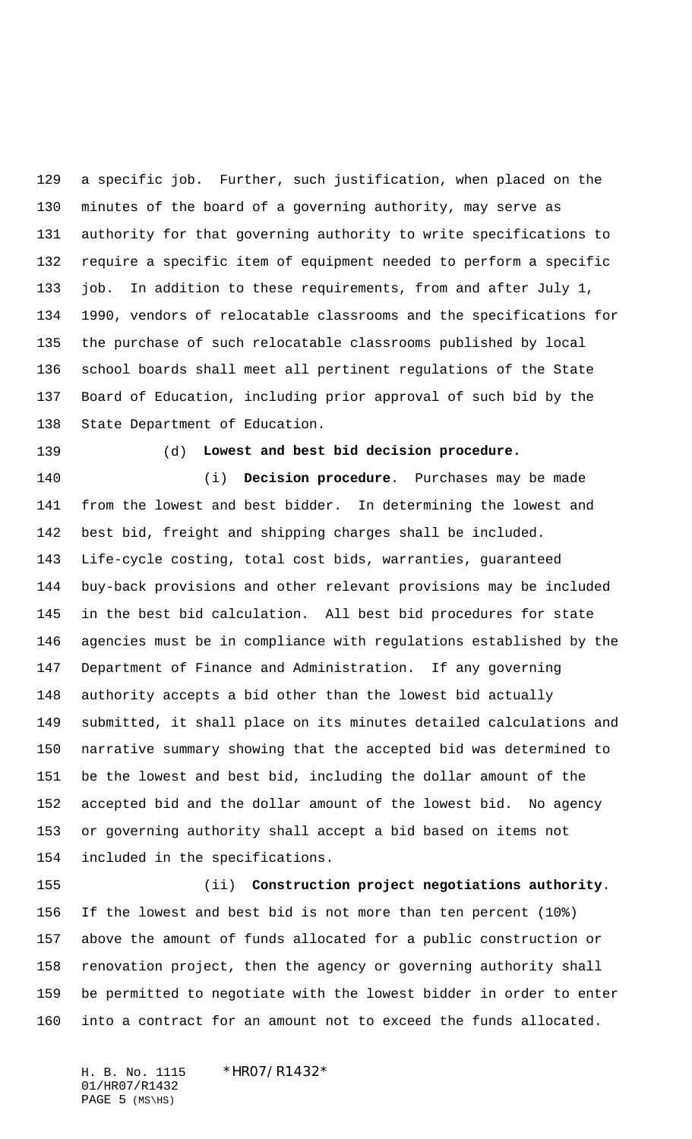a specific job. Further, such justification, when placed on the minutes of the board of a governing authority, may serve as authority for that governing authority to write specifications to require a specific item of equipment needed to perform a specific job. In addition to these requirements, from and after July 1, 1990, vendors of relocatable classrooms and the specifications for the purchase of such relocatable classrooms published by local school boards shall meet all pertinent regulations of the State Board of Education, including prior approval of such bid by the State Department of Education.

## (d) **Lowest and best bid decision procedure.**

 (i) **Decision procedure**. Purchases may be made from the lowest and best bidder. In determining the lowest and best bid, freight and shipping charges shall be included. Life-cycle costing, total cost bids, warranties, guaranteed buy-back provisions and other relevant provisions may be included in the best bid calculation. All best bid procedures for state agencies must be in compliance with regulations established by the Department of Finance and Administration. If any governing authority accepts a bid other than the lowest bid actually submitted, it shall place on its minutes detailed calculations and narrative summary showing that the accepted bid was determined to be the lowest and best bid, including the dollar amount of the accepted bid and the dollar amount of the lowest bid. No agency or governing authority shall accept a bid based on items not included in the specifications.

 (ii) **Construction project negotiations authority**. If the lowest and best bid is not more than ten percent (10%) above the amount of funds allocated for a public construction or renovation project, then the agency or governing authority shall be permitted to negotiate with the lowest bidder in order to enter into a contract for an amount not to exceed the funds allocated.

H. B. No. 1115 \* HRO7/R1432\* 01/HR07/R1432 PAGE (MS\HS)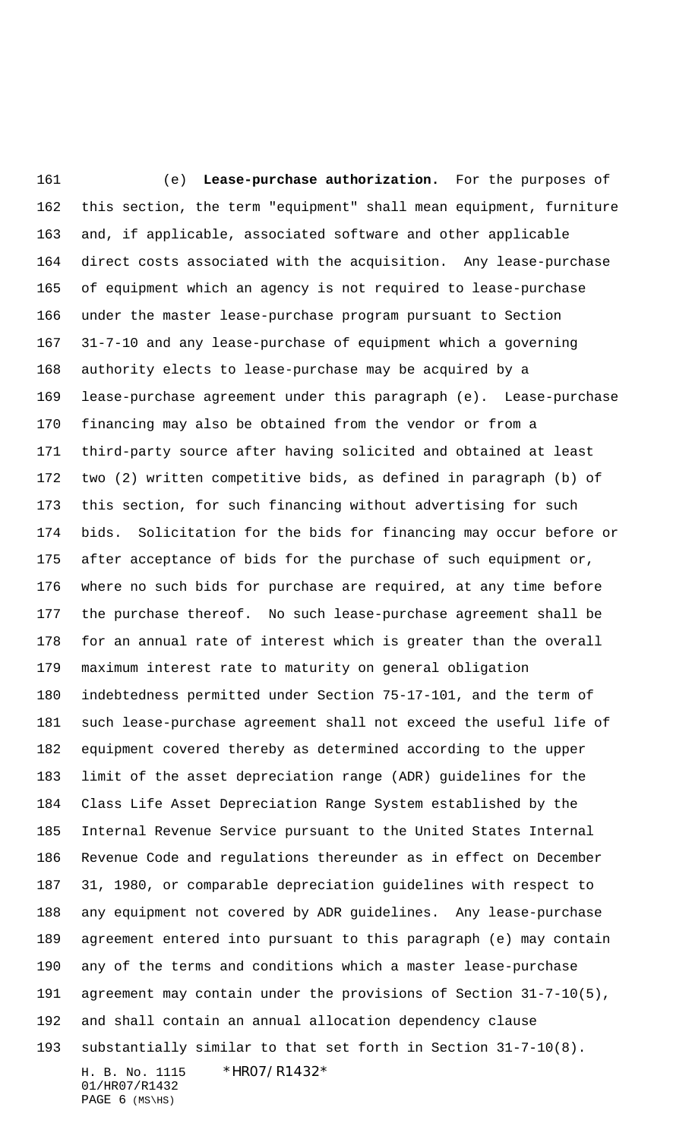H. B. No. 1115 \*HR07/R1432\* 01/HR07/R1432 (e) **Lease-purchase authorization.** For the purposes of this section, the term "equipment" shall mean equipment, furniture and, if applicable, associated software and other applicable direct costs associated with the acquisition. Any lease-purchase of equipment which an agency is not required to lease-purchase under the master lease-purchase program pursuant to Section 31-7-10 and any lease-purchase of equipment which a governing authority elects to lease-purchase may be acquired by a lease-purchase agreement under this paragraph (e). Lease-purchase financing may also be obtained from the vendor or from a third-party source after having solicited and obtained at least two (2) written competitive bids, as defined in paragraph (b) of this section, for such financing without advertising for such bids. Solicitation for the bids for financing may occur before or after acceptance of bids for the purchase of such equipment or, where no such bids for purchase are required, at any time before the purchase thereof. No such lease-purchase agreement shall be for an annual rate of interest which is greater than the overall maximum interest rate to maturity on general obligation indebtedness permitted under Section 75-17-101, and the term of such lease-purchase agreement shall not exceed the useful life of equipment covered thereby as determined according to the upper limit of the asset depreciation range (ADR) guidelines for the Class Life Asset Depreciation Range System established by the Internal Revenue Service pursuant to the United States Internal Revenue Code and regulations thereunder as in effect on December 31, 1980, or comparable depreciation guidelines with respect to any equipment not covered by ADR guidelines. Any lease-purchase agreement entered into pursuant to this paragraph (e) may contain any of the terms and conditions which a master lease-purchase agreement may contain under the provisions of Section 31-7-10(5), and shall contain an annual allocation dependency clause substantially similar to that set forth in Section 31-7-10(8).

PAGE (MS\HS)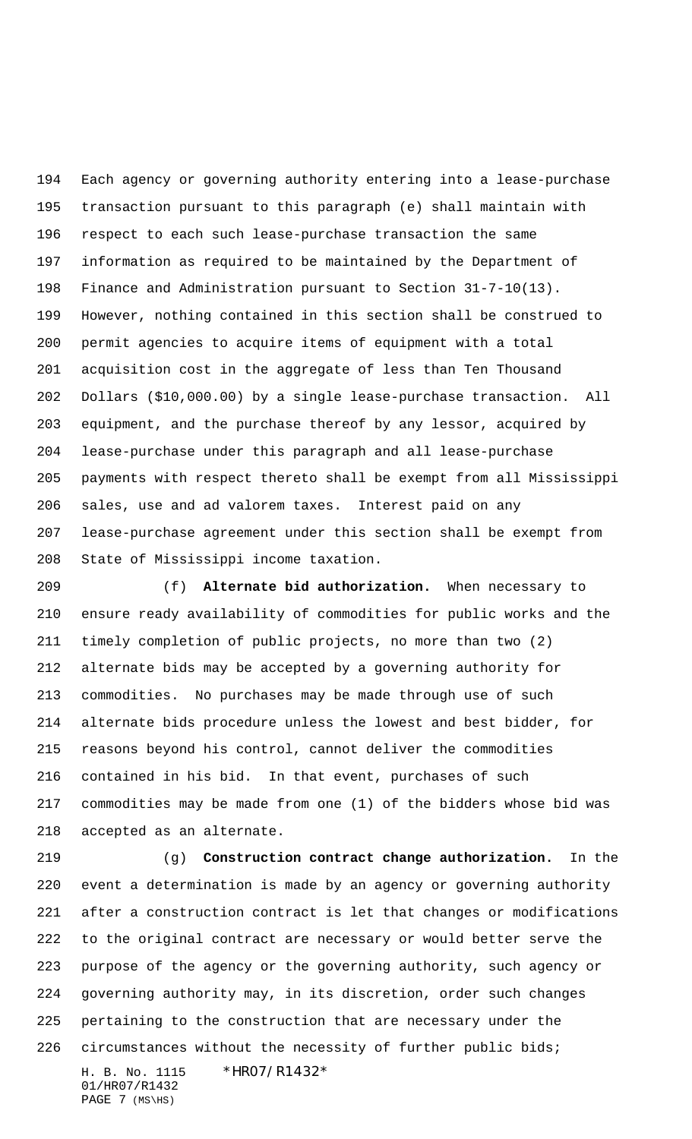Each agency or governing authority entering into a lease-purchase transaction pursuant to this paragraph (e) shall maintain with respect to each such lease-purchase transaction the same information as required to be maintained by the Department of Finance and Administration pursuant to Section 31-7-10(13). However, nothing contained in this section shall be construed to permit agencies to acquire items of equipment with a total acquisition cost in the aggregate of less than Ten Thousand Dollars (\$10,000.00) by a single lease-purchase transaction. All equipment, and the purchase thereof by any lessor, acquired by lease-purchase under this paragraph and all lease-purchase payments with respect thereto shall be exempt from all Mississippi sales, use and ad valorem taxes. Interest paid on any lease-purchase agreement under this section shall be exempt from State of Mississippi income taxation.

 (f) **Alternate bid authorization.** When necessary to ensure ready availability of commodities for public works and the timely completion of public projects, no more than two (2) alternate bids may be accepted by a governing authority for commodities. No purchases may be made through use of such alternate bids procedure unless the lowest and best bidder, for reasons beyond his control, cannot deliver the commodities contained in his bid. In that event, purchases of such commodities may be made from one (1) of the bidders whose bid was accepted as an alternate.

H. B. No. 1115 \*HR07/R1432\* (g) **Construction contract change authorization.** In the event a determination is made by an agency or governing authority after a construction contract is let that changes or modifications to the original contract are necessary or would better serve the purpose of the agency or the governing authority, such agency or governing authority may, in its discretion, order such changes pertaining to the construction that are necessary under the circumstances without the necessity of further public bids;

01/HR07/R1432 PAGE (MS\HS)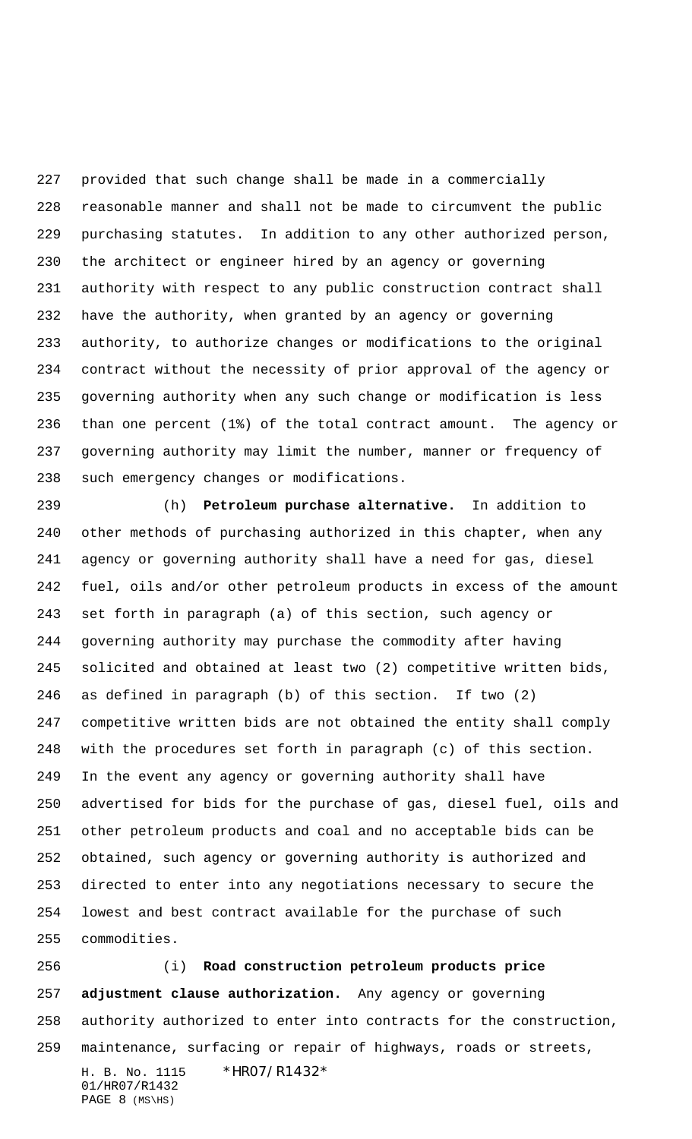provided that such change shall be made in a commercially reasonable manner and shall not be made to circumvent the public purchasing statutes. In addition to any other authorized person, the architect or engineer hired by an agency or governing authority with respect to any public construction contract shall have the authority, when granted by an agency or governing authority, to authorize changes or modifications to the original contract without the necessity of prior approval of the agency or governing authority when any such change or modification is less than one percent (1%) of the total contract amount. The agency or governing authority may limit the number, manner or frequency of such emergency changes or modifications.

 (h) **Petroleum purchase alternative.** In addition to other methods of purchasing authorized in this chapter, when any agency or governing authority shall have a need for gas, diesel fuel, oils and/or other petroleum products in excess of the amount set forth in paragraph (a) of this section, such agency or governing authority may purchase the commodity after having solicited and obtained at least two (2) competitive written bids, as defined in paragraph (b) of this section. If two (2) competitive written bids are not obtained the entity shall comply with the procedures set forth in paragraph (c) of this section. In the event any agency or governing authority shall have advertised for bids for the purchase of gas, diesel fuel, oils and other petroleum products and coal and no acceptable bids can be obtained, such agency or governing authority is authorized and directed to enter into any negotiations necessary to secure the lowest and best contract available for the purchase of such commodities.

H. B. No. 1115 \*HR07/R1432\* 01/HR07/R1432 (i) **Road construction petroleum products price adjustment clause authorization.** Any agency or governing authority authorized to enter into contracts for the construction, maintenance, surfacing or repair of highways, roads or streets,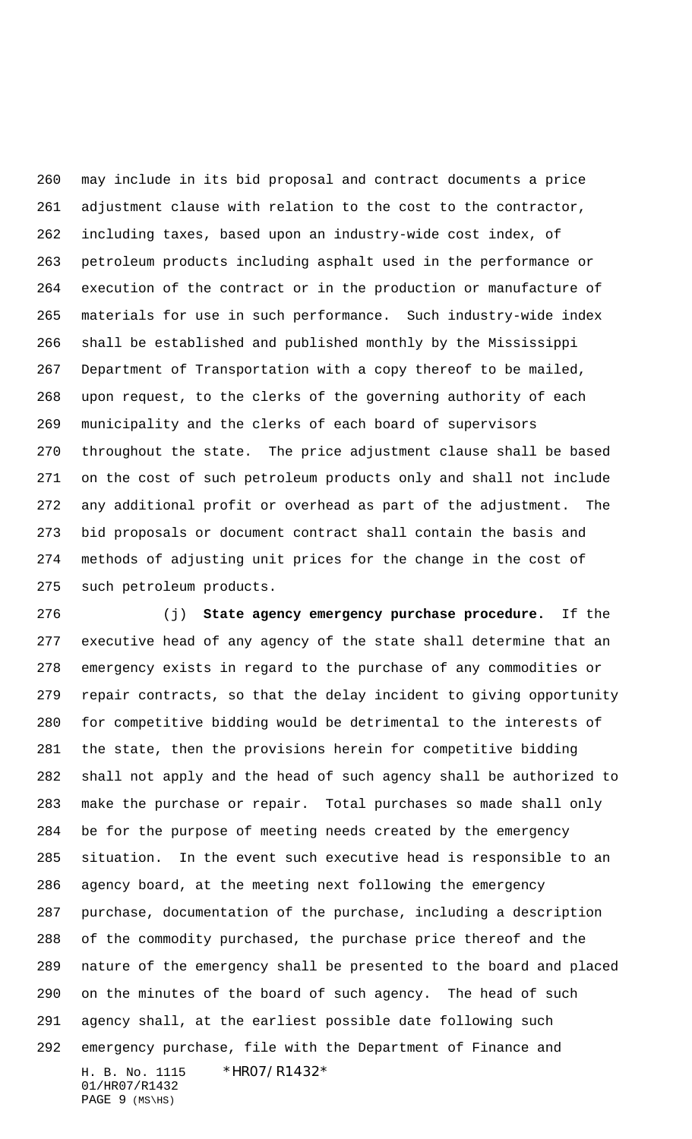may include in its bid proposal and contract documents a price adjustment clause with relation to the cost to the contractor, including taxes, based upon an industry-wide cost index, of petroleum products including asphalt used in the performance or execution of the contract or in the production or manufacture of materials for use in such performance. Such industry-wide index shall be established and published monthly by the Mississippi Department of Transportation with a copy thereof to be mailed, upon request, to the clerks of the governing authority of each municipality and the clerks of each board of supervisors throughout the state. The price adjustment clause shall be based on the cost of such petroleum products only and shall not include any additional profit or overhead as part of the adjustment. The bid proposals or document contract shall contain the basis and methods of adjusting unit prices for the change in the cost of such petroleum products.

H. B. No. 1115 \*HR07/R1432\* 01/HR07/R1432 (j) **State agency emergency purchase procedure.** If the executive head of any agency of the state shall determine that an emergency exists in regard to the purchase of any commodities or repair contracts, so that the delay incident to giving opportunity for competitive bidding would be detrimental to the interests of the state, then the provisions herein for competitive bidding shall not apply and the head of such agency shall be authorized to make the purchase or repair. Total purchases so made shall only be for the purpose of meeting needs created by the emergency situation. In the event such executive head is responsible to an agency board, at the meeting next following the emergency purchase, documentation of the purchase, including a description of the commodity purchased, the purchase price thereof and the nature of the emergency shall be presented to the board and placed on the minutes of the board of such agency. The head of such agency shall, at the earliest possible date following such emergency purchase, file with the Department of Finance and

PAGE (MS\HS)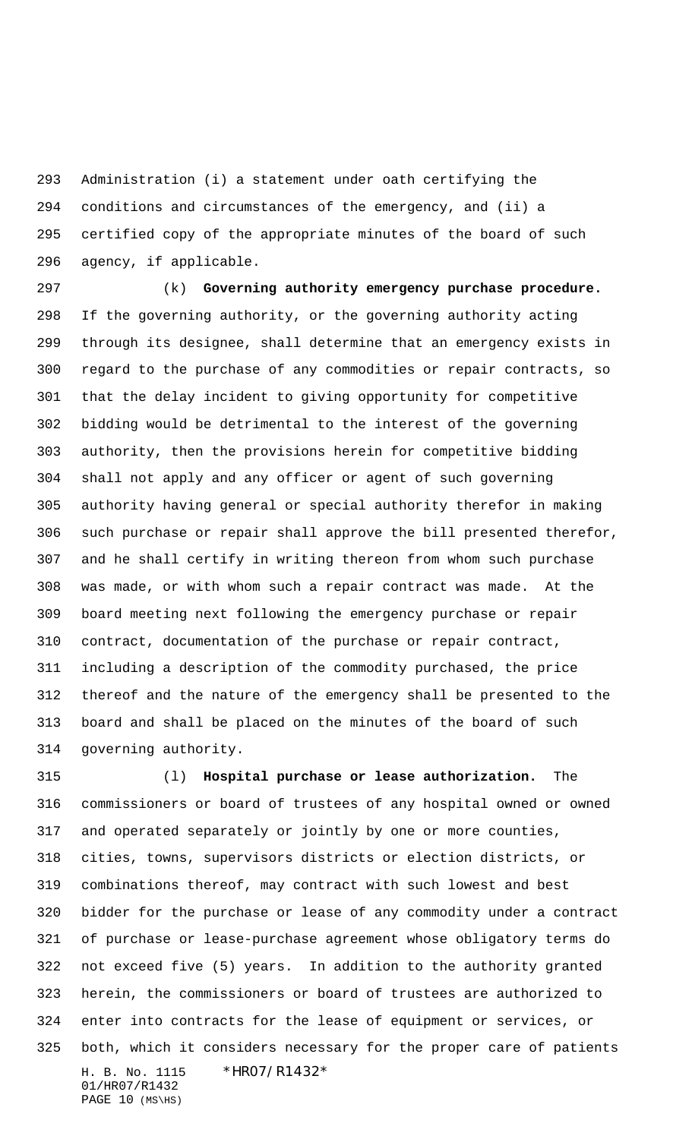Administration (i) a statement under oath certifying the conditions and circumstances of the emergency, and (ii) a certified copy of the appropriate minutes of the board of such agency, if applicable.

 (k) **Governing authority emergency purchase procedure.** If the governing authority, or the governing authority acting through its designee, shall determine that an emergency exists in regard to the purchase of any commodities or repair contracts, so that the delay incident to giving opportunity for competitive bidding would be detrimental to the interest of the governing authority, then the provisions herein for competitive bidding shall not apply and any officer or agent of such governing authority having general or special authority therefor in making such purchase or repair shall approve the bill presented therefor, and he shall certify in writing thereon from whom such purchase was made, or with whom such a repair contract was made. At the board meeting next following the emergency purchase or repair contract, documentation of the purchase or repair contract, including a description of the commodity purchased, the price thereof and the nature of the emergency shall be presented to the board and shall be placed on the minutes of the board of such governing authority.

H. B. No. 1115 \* HRO7/R1432\* 01/HR07/R1432 (l) **Hospital purchase or lease authorization.** The commissioners or board of trustees of any hospital owned or owned and operated separately or jointly by one or more counties, cities, towns, supervisors districts or election districts, or combinations thereof, may contract with such lowest and best bidder for the purchase or lease of any commodity under a contract of purchase or lease-purchase agreement whose obligatory terms do not exceed five (5) years. In addition to the authority granted herein, the commissioners or board of trustees are authorized to enter into contracts for the lease of equipment or services, or both, which it considers necessary for the proper care of patients

PAGE (MS\HS)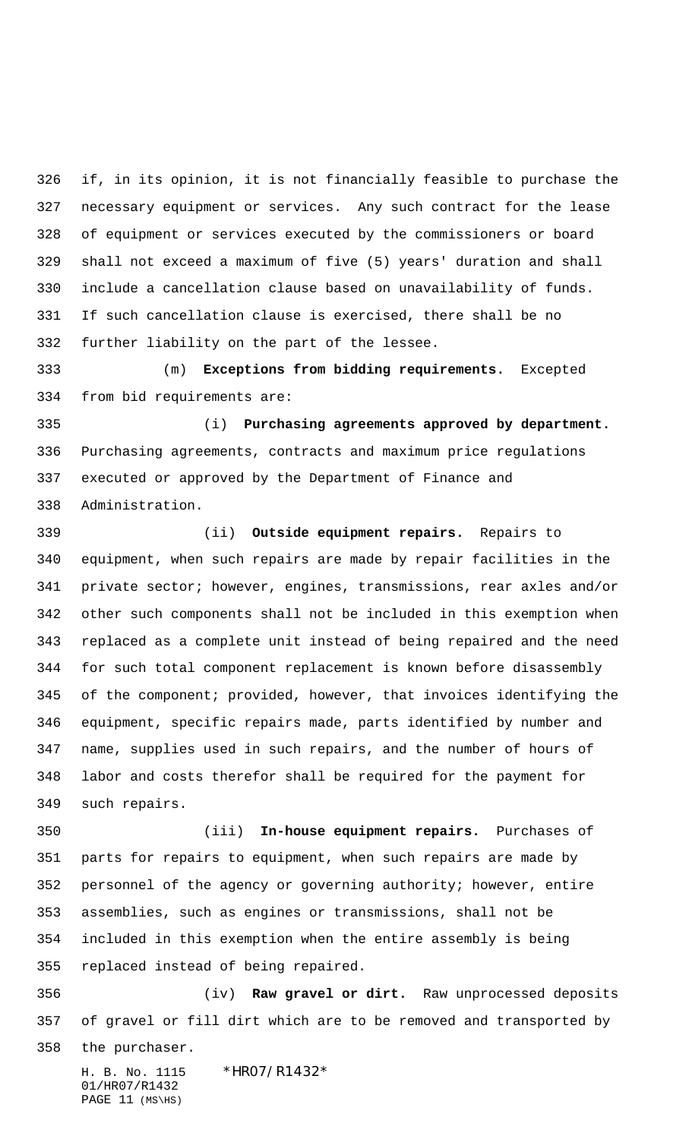if, in its opinion, it is not financially feasible to purchase the necessary equipment or services. Any such contract for the lease of equipment or services executed by the commissioners or board shall not exceed a maximum of five (5) years' duration and shall include a cancellation clause based on unavailability of funds. If such cancellation clause is exercised, there shall be no further liability on the part of the lessee.

 (m) **Exceptions from bidding requirements.** Excepted from bid requirements are:

 (i) **Purchasing agreements approved by department.** Purchasing agreements, contracts and maximum price regulations executed or approved by the Department of Finance and Administration.

 (ii) **Outside equipment repairs.** Repairs to equipment, when such repairs are made by repair facilities in the private sector; however, engines, transmissions, rear axles and/or other such components shall not be included in this exemption when replaced as a complete unit instead of being repaired and the need for such total component replacement is known before disassembly of the component; provided, however, that invoices identifying the equipment, specific repairs made, parts identified by number and name, supplies used in such repairs, and the number of hours of labor and costs therefor shall be required for the payment for such repairs.

 (iii) **In-house equipment repairs.** Purchases of parts for repairs to equipment, when such repairs are made by personnel of the agency or governing authority; however, entire assemblies, such as engines or transmissions, shall not be included in this exemption when the entire assembly is being replaced instead of being repaired.

 (iv) **Raw gravel or dirt.** Raw unprocessed deposits of gravel or fill dirt which are to be removed and transported by

the purchaser.

H. B. No. 1115 \* HRO7/R1432\* 01/HR07/R1432 PAGE 11 (MS\HS)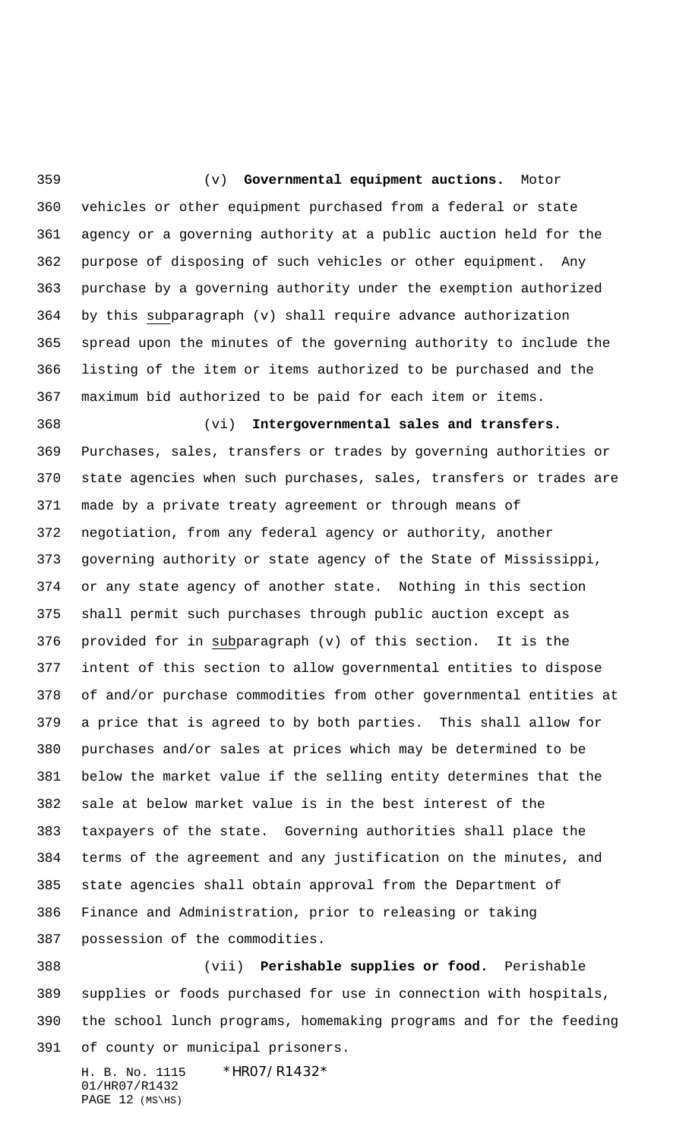(v) **Governmental equipment auctions.** Motor vehicles or other equipment purchased from a federal or state agency or a governing authority at a public auction held for the purpose of disposing of such vehicles or other equipment. Any purchase by a governing authority under the exemption authorized by this subparagraph (v) shall require advance authorization spread upon the minutes of the governing authority to include the listing of the item or items authorized to be purchased and the maximum bid authorized to be paid for each item or items.

 (vi) **Intergovernmental sales and transfers.** Purchases, sales, transfers or trades by governing authorities or state agencies when such purchases, sales, transfers or trades are made by a private treaty agreement or through means of negotiation, from any federal agency or authority, another governing authority or state agency of the State of Mississippi, or any state agency of another state. Nothing in this section shall permit such purchases through public auction except as provided for in subparagraph (v) of this section. It is the intent of this section to allow governmental entities to dispose of and/or purchase commodities from other governmental entities at a price that is agreed to by both parties. This shall allow for purchases and/or sales at prices which may be determined to be below the market value if the selling entity determines that the sale at below market value is in the best interest of the taxpayers of the state. Governing authorities shall place the terms of the agreement and any justification on the minutes, and state agencies shall obtain approval from the Department of Finance and Administration, prior to releasing or taking possession of the commodities.

 (vii) **Perishable supplies or food.** Perishable supplies or foods purchased for use in connection with hospitals, the school lunch programs, homemaking programs and for the feeding of county or municipal prisoners.

H. B. No. 1115 \*HR07/R1432\* 01/HR07/R1432 PAGE (MS\HS)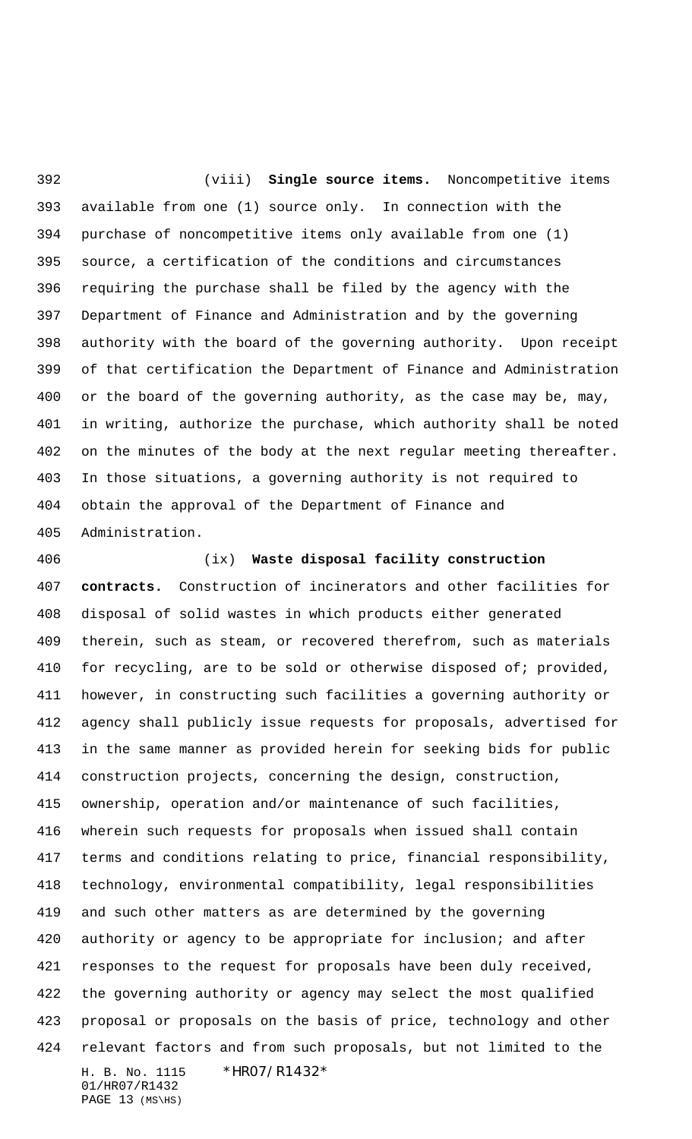(viii) **Single source items.** Noncompetitive items available from one (1) source only. In connection with the purchase of noncompetitive items only available from one (1) source, a certification of the conditions and circumstances requiring the purchase shall be filed by the agency with the Department of Finance and Administration and by the governing authority with the board of the governing authority. Upon receipt of that certification the Department of Finance and Administration or the board of the governing authority, as the case may be, may, in writing, authorize the purchase, which authority shall be noted on the minutes of the body at the next regular meeting thereafter. In those situations, a governing authority is not required to obtain the approval of the Department of Finance and Administration.

H. B. No. 1115 \* HRO7/R1432\* 01/HR07/R1432 (ix) **Waste disposal facility construction contracts.** Construction of incinerators and other facilities for disposal of solid wastes in which products either generated therein, such as steam, or recovered therefrom, such as materials 410 for recycling, are to be sold or otherwise disposed of; provided, however, in constructing such facilities a governing authority or agency shall publicly issue requests for proposals, advertised for in the same manner as provided herein for seeking bids for public construction projects, concerning the design, construction, ownership, operation and/or maintenance of such facilities, wherein such requests for proposals when issued shall contain terms and conditions relating to price, financial responsibility, technology, environmental compatibility, legal responsibilities and such other matters as are determined by the governing authority or agency to be appropriate for inclusion; and after responses to the request for proposals have been duly received, the governing authority or agency may select the most qualified proposal or proposals on the basis of price, technology and other relevant factors and from such proposals, but not limited to the

PAGE (MS\HS)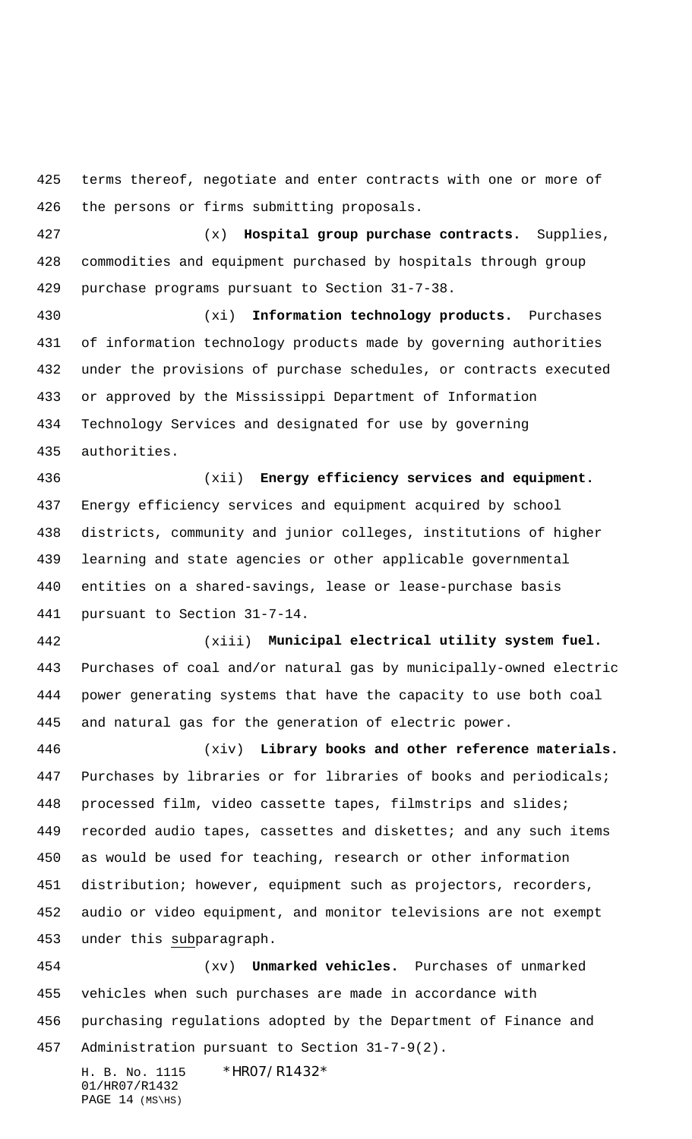terms thereof, negotiate and enter contracts with one or more of the persons or firms submitting proposals.

 (x) **Hospital group purchase contracts.** Supplies, commodities and equipment purchased by hospitals through group purchase programs pursuant to Section 31-7-38.

 (xi) **Information technology products.** Purchases of information technology products made by governing authorities under the provisions of purchase schedules, or contracts executed or approved by the Mississippi Department of Information Technology Services and designated for use by governing authorities.

 (xii) **Energy efficiency services and equipment.** Energy efficiency services and equipment acquired by school districts, community and junior colleges, institutions of higher learning and state agencies or other applicable governmental entities on a shared-savings, lease or lease-purchase basis pursuant to Section 31-7-14.

 (xiii) **Municipal electrical utility system fuel.** Purchases of coal and/or natural gas by municipally-owned electric power generating systems that have the capacity to use both coal and natural gas for the generation of electric power.

 (xiv) **Library books and other reference materials.** Purchases by libraries or for libraries of books and periodicals; processed film, video cassette tapes, filmstrips and slides; recorded audio tapes, cassettes and diskettes; and any such items as would be used for teaching, research or other information distribution; however, equipment such as projectors, recorders, audio or video equipment, and monitor televisions are not exempt under this subparagraph.

 (xv) **Unmarked vehicles.** Purchases of unmarked vehicles when such purchases are made in accordance with purchasing regulations adopted by the Department of Finance and Administration pursuant to Section 31-7-9(2).

H. B. No. 1115 \*HR07/R1432\* 01/HR07/R1432 PAGE (MS\HS)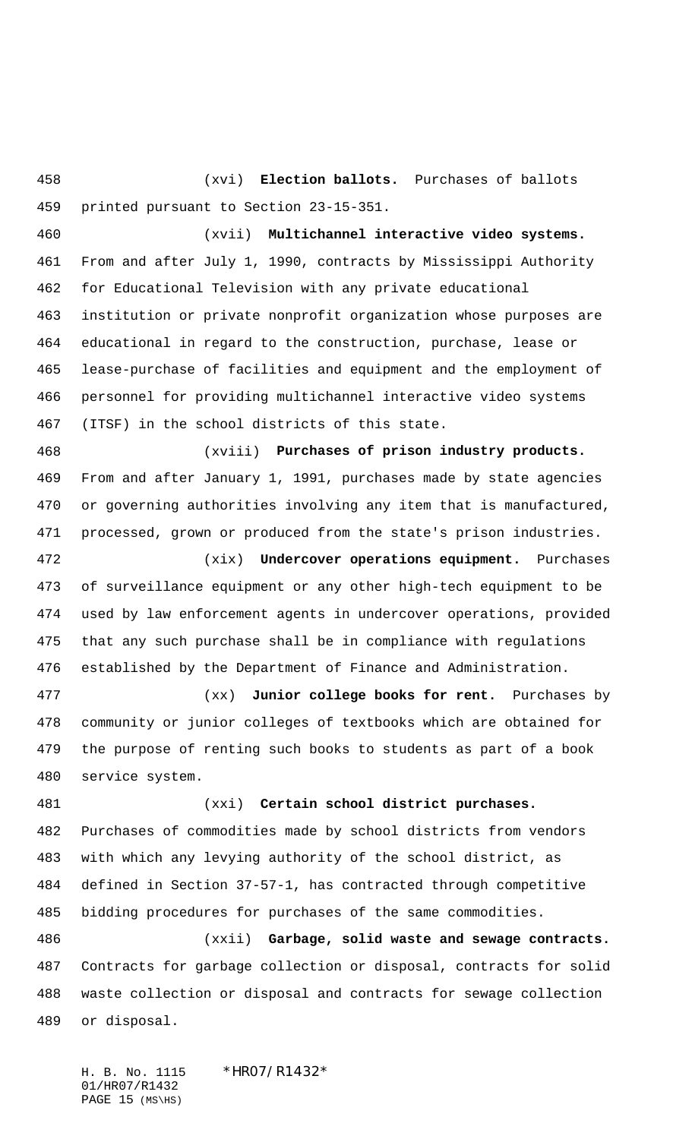(xvi) **Election ballots.** Purchases of ballots printed pursuant to Section 23-15-351.

 (xvii) **Multichannel interactive video systems.** From and after July 1, 1990, contracts by Mississippi Authority for Educational Television with any private educational institution or private nonprofit organization whose purposes are educational in regard to the construction, purchase, lease or lease-purchase of facilities and equipment and the employment of personnel for providing multichannel interactive video systems (ITSF) in the school districts of this state.

 (xviii) **Purchases of prison industry products.** From and after January 1, 1991, purchases made by state agencies or governing authorities involving any item that is manufactured, processed, grown or produced from the state's prison industries.

 (xix) **Undercover operations equipment.** Purchases of surveillance equipment or any other high-tech equipment to be used by law enforcement agents in undercover operations, provided that any such purchase shall be in compliance with regulations established by the Department of Finance and Administration.

 (xx) **Junior college books for rent.** Purchases by community or junior colleges of textbooks which are obtained for the purpose of renting such books to students as part of a book service system.

 (xxi) **Certain school district purchases.** Purchases of commodities made by school districts from vendors with which any levying authority of the school district, as defined in Section 37-57-1, has contracted through competitive bidding procedures for purchases of the same commodities.

 (xxii) **Garbage, solid waste and sewage contracts.** Contracts for garbage collection or disposal, contracts for solid waste collection or disposal and contracts for sewage collection or disposal.

H. B. No. 1115 \* HRO7/R1432\* 01/HR07/R1432 PAGE (MS\HS)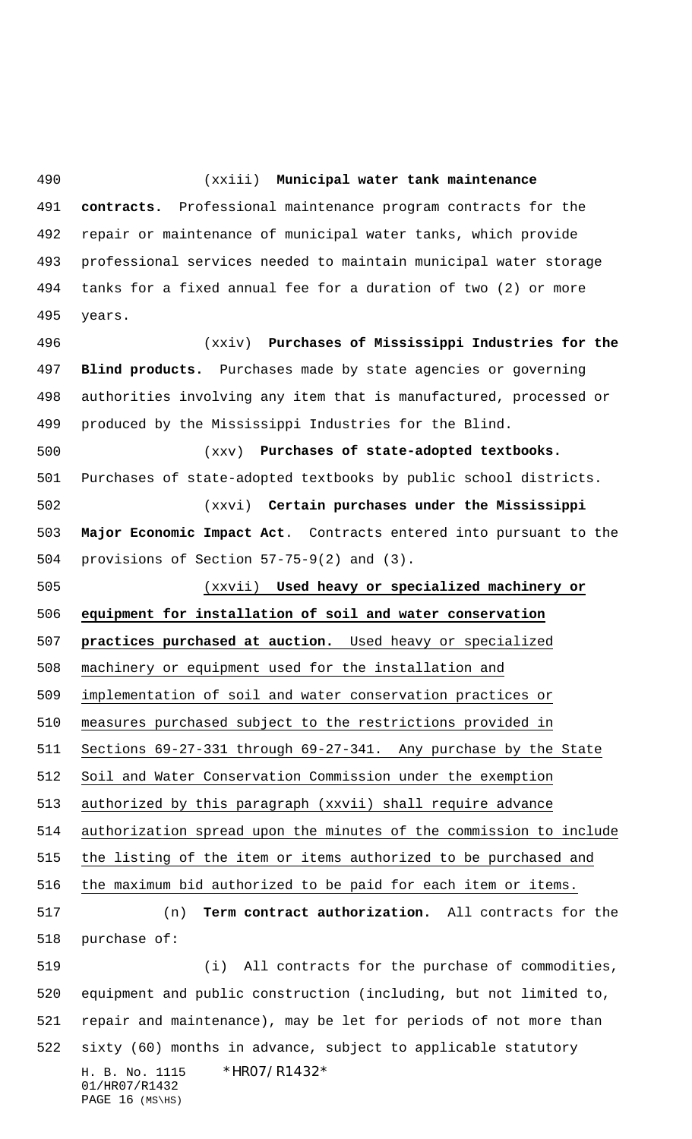H. B. No. 1115 \*HR07/R1432\* 01/HR07/R1432 (xxiii) **Municipal water tank maintenance contracts.** Professional maintenance program contracts for the repair or maintenance of municipal water tanks, which provide professional services needed to maintain municipal water storage tanks for a fixed annual fee for a duration of two (2) or more years. (xxiv) **Purchases of Mississippi Industries for the Blind products.** Purchases made by state agencies or governing authorities involving any item that is manufactured, processed or produced by the Mississippi Industries for the Blind. (xxv) **Purchases of state-adopted textbooks.** Purchases of state-adopted textbooks by public school districts. (xxvi) **Certain purchases under the Mississippi Major Economic Impact Act**. Contracts entered into pursuant to the provisions of Section 57-75-9(2) and (3). (xxvii) **Used heavy or specialized machinery or equipment for installation of soil and water conservation practices purchased at auction.** Used heavy or specialized machinery or equipment used for the installation and implementation of soil and water conservation practices or measures purchased subject to the restrictions provided in Sections 69-27-331 through 69-27-341. Any purchase by the State Soil and Water Conservation Commission under the exemption authorized by this paragraph (xxvii) shall require advance authorization spread upon the minutes of the commission to include the listing of the item or items authorized to be purchased and the maximum bid authorized to be paid for each item or items. (n) **Term contract authorization.** All contracts for the purchase of: (i) All contracts for the purchase of commodities, equipment and public construction (including, but not limited to, repair and maintenance), may be let for periods of not more than sixty (60) months in advance, subject to applicable statutory

PAGE (MS\HS)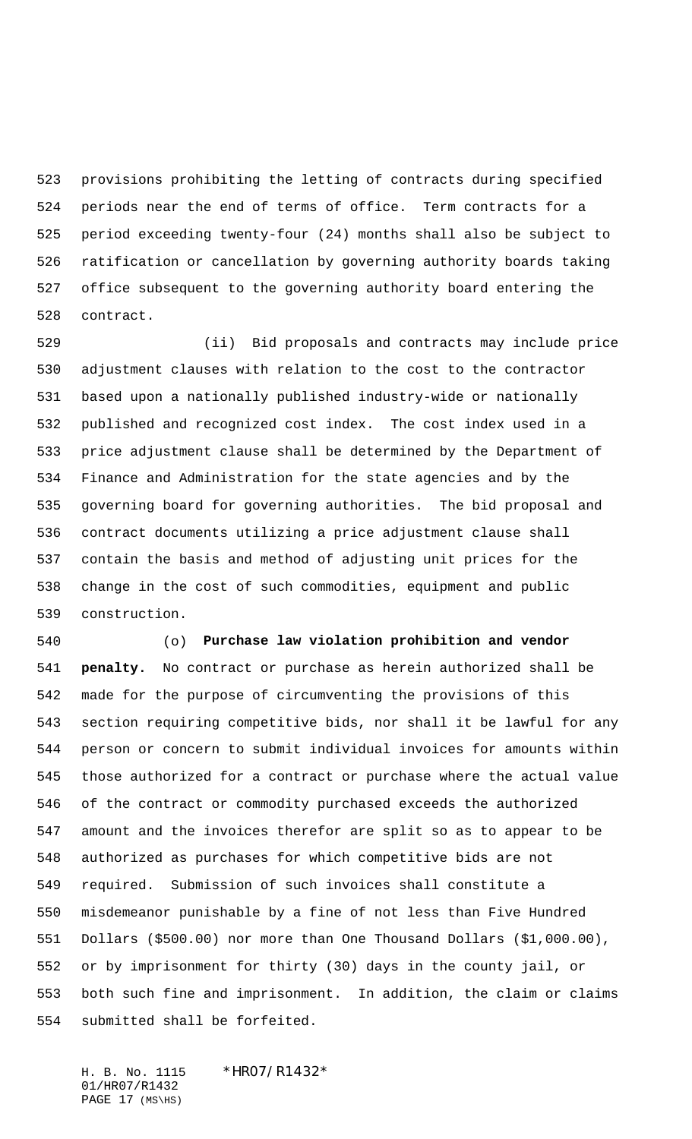provisions prohibiting the letting of contracts during specified periods near the end of terms of office. Term contracts for a period exceeding twenty-four (24) months shall also be subject to ratification or cancellation by governing authority boards taking office subsequent to the governing authority board entering the contract.

 (ii) Bid proposals and contracts may include price adjustment clauses with relation to the cost to the contractor based upon a nationally published industry-wide or nationally published and recognized cost index. The cost index used in a price adjustment clause shall be determined by the Department of Finance and Administration for the state agencies and by the governing board for governing authorities. The bid proposal and contract documents utilizing a price adjustment clause shall contain the basis and method of adjusting unit prices for the change in the cost of such commodities, equipment and public construction.

 (o) **Purchase law violation prohibition and vendor penalty.** No contract or purchase as herein authorized shall be made for the purpose of circumventing the provisions of this section requiring competitive bids, nor shall it be lawful for any person or concern to submit individual invoices for amounts within those authorized for a contract or purchase where the actual value of the contract or commodity purchased exceeds the authorized amount and the invoices therefor are split so as to appear to be authorized as purchases for which competitive bids are not required. Submission of such invoices shall constitute a misdemeanor punishable by a fine of not less than Five Hundred Dollars (\$500.00) nor more than One Thousand Dollars (\$1,000.00), or by imprisonment for thirty (30) days in the county jail, or both such fine and imprisonment. In addition, the claim or claims submitted shall be forfeited.

H. B. No. 1115 \*HR07/R1432\* 01/HR07/R1432 PAGE (MS\HS)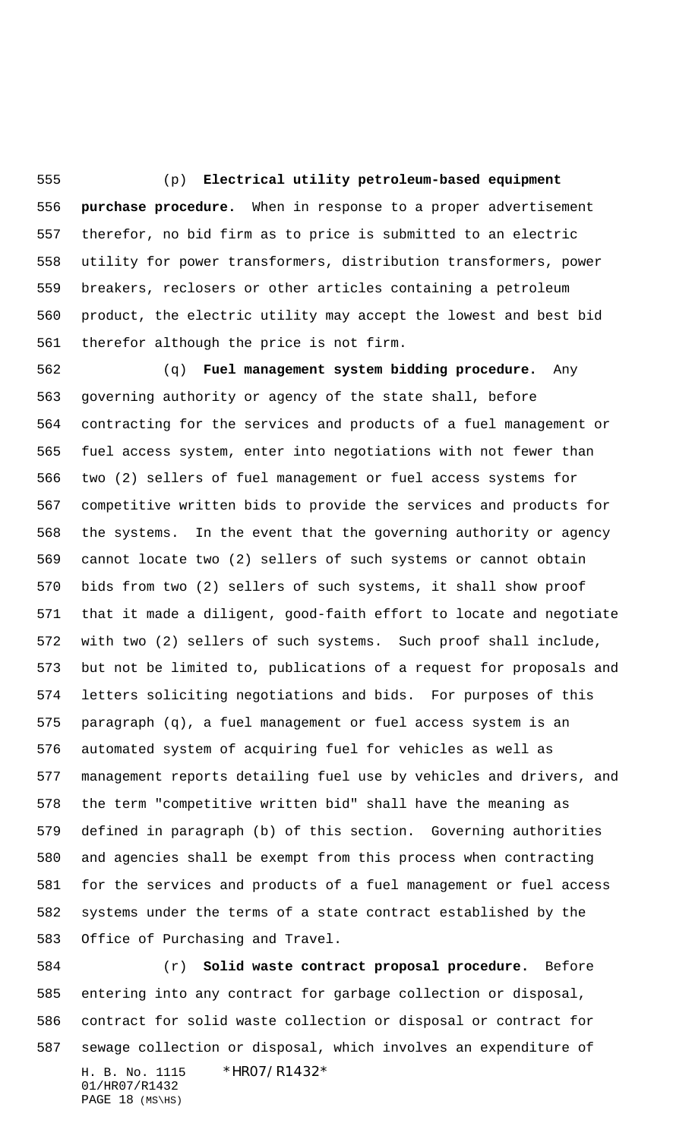(p) **Electrical utility petroleum-based equipment purchase procedure.** When in response to a proper advertisement therefor, no bid firm as to price is submitted to an electric utility for power transformers, distribution transformers, power breakers, reclosers or other articles containing a petroleum product, the electric utility may accept the lowest and best bid therefor although the price is not firm.

 (q) **Fuel management system bidding procedure.** Any governing authority or agency of the state shall, before contracting for the services and products of a fuel management or fuel access system, enter into negotiations with not fewer than two (2) sellers of fuel management or fuel access systems for competitive written bids to provide the services and products for the systems. In the event that the governing authority or agency cannot locate two (2) sellers of such systems or cannot obtain bids from two (2) sellers of such systems, it shall show proof that it made a diligent, good-faith effort to locate and negotiate with two (2) sellers of such systems. Such proof shall include, but not be limited to, publications of a request for proposals and letters soliciting negotiations and bids. For purposes of this paragraph (q), a fuel management or fuel access system is an automated system of acquiring fuel for vehicles as well as management reports detailing fuel use by vehicles and drivers, and the term "competitive written bid" shall have the meaning as defined in paragraph (b) of this section. Governing authorities and agencies shall be exempt from this process when contracting for the services and products of a fuel management or fuel access systems under the terms of a state contract established by the Office of Purchasing and Travel.

H. B. No. 1115 \*HR07/R1432\* 01/HR07/R1432 PAGE (MS\HS) (r) **Solid waste contract proposal procedure.** Before entering into any contract for garbage collection or disposal, contract for solid waste collection or disposal or contract for sewage collection or disposal, which involves an expenditure of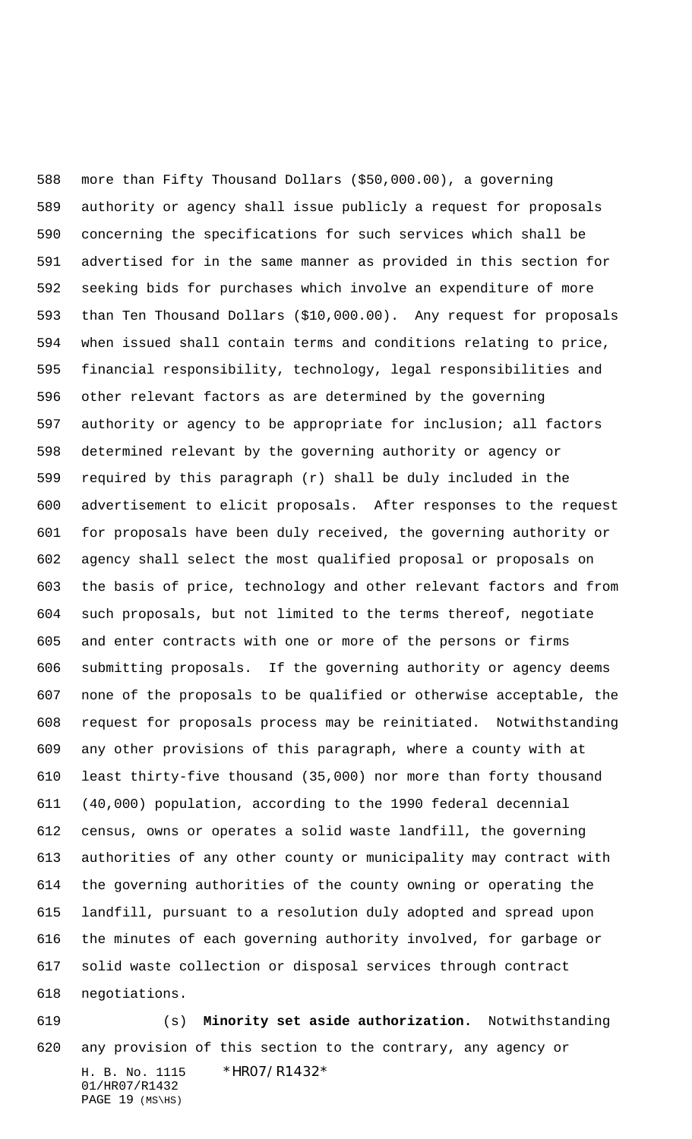more than Fifty Thousand Dollars (\$50,000.00), a governing authority or agency shall issue publicly a request for proposals concerning the specifications for such services which shall be advertised for in the same manner as provided in this section for seeking bids for purchases which involve an expenditure of more than Ten Thousand Dollars (\$10,000.00). Any request for proposals when issued shall contain terms and conditions relating to price, financial responsibility, technology, legal responsibilities and other relevant factors as are determined by the governing authority or agency to be appropriate for inclusion; all factors determined relevant by the governing authority or agency or required by this paragraph (r) shall be duly included in the advertisement to elicit proposals. After responses to the request for proposals have been duly received, the governing authority or agency shall select the most qualified proposal or proposals on the basis of price, technology and other relevant factors and from such proposals, but not limited to the terms thereof, negotiate and enter contracts with one or more of the persons or firms submitting proposals. If the governing authority or agency deems none of the proposals to be qualified or otherwise acceptable, the request for proposals process may be reinitiated. Notwithstanding any other provisions of this paragraph, where a county with at least thirty-five thousand (35,000) nor more than forty thousand (40,000) population, according to the 1990 federal decennial census, owns or operates a solid waste landfill, the governing authorities of any other county or municipality may contract with the governing authorities of the county owning or operating the landfill, pursuant to a resolution duly adopted and spread upon the minutes of each governing authority involved, for garbage or solid waste collection or disposal services through contract negotiations.

H. B. No. 1115 \*HR07/R1432\* 01/HR07/R1432 PAGE (MS\HS) (s) **Minority set aside authorization.** Notwithstanding any provision of this section to the contrary, any agency or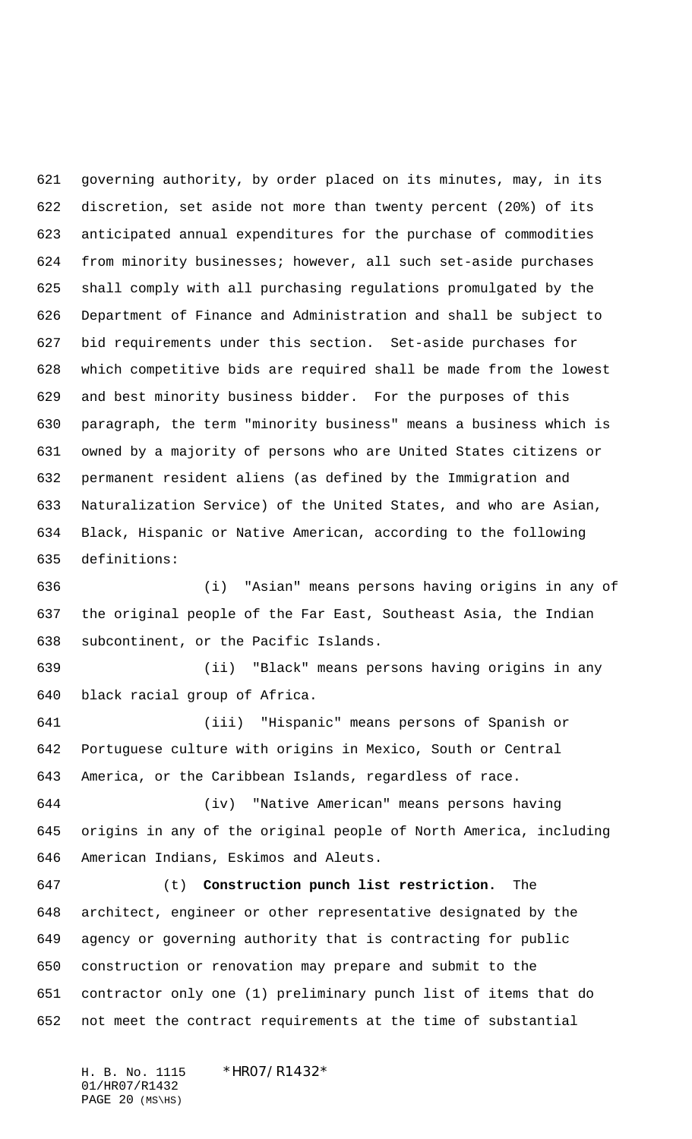governing authority, by order placed on its minutes, may, in its discretion, set aside not more than twenty percent (20%) of its anticipated annual expenditures for the purchase of commodities from minority businesses; however, all such set-aside purchases shall comply with all purchasing regulations promulgated by the Department of Finance and Administration and shall be subject to bid requirements under this section. Set-aside purchases for which competitive bids are required shall be made from the lowest and best minority business bidder. For the purposes of this paragraph, the term "minority business" means a business which is owned by a majority of persons who are United States citizens or permanent resident aliens (as defined by the Immigration and Naturalization Service) of the United States, and who are Asian, Black, Hispanic or Native American, according to the following definitions:

 (i) "Asian" means persons having origins in any of the original people of the Far East, Southeast Asia, the Indian subcontinent, or the Pacific Islands.

 (ii) "Black" means persons having origins in any black racial group of Africa.

 (iii) "Hispanic" means persons of Spanish or Portuguese culture with origins in Mexico, South or Central America, or the Caribbean Islands, regardless of race.

 (iv) "Native American" means persons having origins in any of the original people of North America, including American Indians, Eskimos and Aleuts.

 (t) **Construction punch list restriction.** The architect, engineer or other representative designated by the agency or governing authority that is contracting for public construction or renovation may prepare and submit to the contractor only one (1) preliminary punch list of items that do not meet the contract requirements at the time of substantial

H. B. No. 1115 \* HRO7/R1432\* 01/HR07/R1432 PAGE (MS\HS)